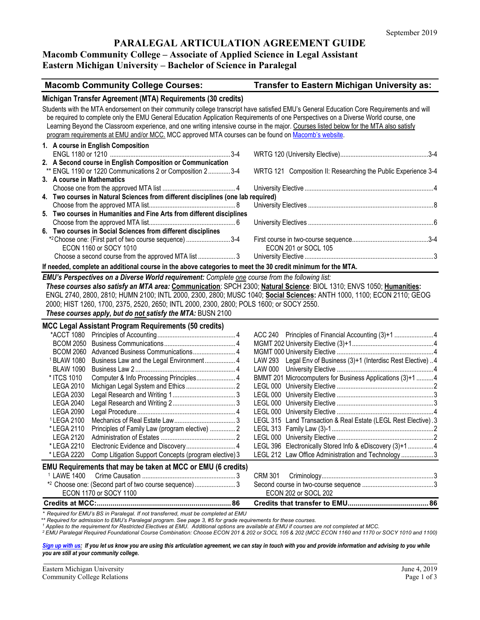### **PARALEGAL ARTICULATION AGREEMENT GUIDE**

# **Macomb Community College – Associate of Applied Science in Legal Assistant**

# **Eastern Michigan University – Bachelor of Science in Paralegal**

| <b>Macomb Community College Courses:</b>                                                                                                                                                                                                                                                                                                                                                                                                                                                                                        | Transfer to Eastern Michigan University as:                     |
|---------------------------------------------------------------------------------------------------------------------------------------------------------------------------------------------------------------------------------------------------------------------------------------------------------------------------------------------------------------------------------------------------------------------------------------------------------------------------------------------------------------------------------|-----------------------------------------------------------------|
| Michigan Transfer Agreement (MTA) Requirements (30 credits)                                                                                                                                                                                                                                                                                                                                                                                                                                                                     |                                                                 |
| Students with the MTA endorsement on their community college transcript have satisfied EMU's General Education Core Requirements and will<br>be required to complete only the EMU General Education Application Requirements of one Perspectives on a Diverse World course, one<br>Learning Beyond the Classroom experience, and one writing intensive course in the major. Courses listed below for the MTA also satisfy<br>program requirements at EMU and/or MCC. MCC approved MTA courses can be found on Macomb's website. |                                                                 |
| 1. A course in English Composition                                                                                                                                                                                                                                                                                                                                                                                                                                                                                              |                                                                 |
| 2. A Second course in English Composition or Communication<br>** ENGL 1190 or 1220 Communications 2 or Composition 2 3-4                                                                                                                                                                                                                                                                                                                                                                                                        | WRTG 121 Composition II: Researching the Public Experience 3-4  |
| 3. A course in Mathematics                                                                                                                                                                                                                                                                                                                                                                                                                                                                                                      |                                                                 |
| 4. Two courses in Natural Sciences from different disciplines (one lab required)                                                                                                                                                                                                                                                                                                                                                                                                                                                |                                                                 |
|                                                                                                                                                                                                                                                                                                                                                                                                                                                                                                                                 |                                                                 |
| 5. Two courses in Humanities and Fine Arts from different disciplines                                                                                                                                                                                                                                                                                                                                                                                                                                                           |                                                                 |
|                                                                                                                                                                                                                                                                                                                                                                                                                                                                                                                                 |                                                                 |
| 6. Two courses in Social Sciences from different disciplines                                                                                                                                                                                                                                                                                                                                                                                                                                                                    |                                                                 |
| *2 Choose one: (First part of two course sequence) 3-4                                                                                                                                                                                                                                                                                                                                                                                                                                                                          |                                                                 |
| ECON 1160 or SOCY 1010                                                                                                                                                                                                                                                                                                                                                                                                                                                                                                          | ECON 201 or SOCL 105                                            |
| Choose a second course from the approved MTA list 3                                                                                                                                                                                                                                                                                                                                                                                                                                                                             |                                                                 |
| If needed, complete an additional course in the above categories to meet the 30 credit minimum for the MTA.                                                                                                                                                                                                                                                                                                                                                                                                                     |                                                                 |
| These courses also satisfy an MTA area: Communication: SPCH 2300; Natural Science: BIOL 1310; ENVS 1050; Humanities:<br>ENGL 2740, 2800, 2810; HUMN 2100; INTL 2000, 2300, 2800; MUSC 1040; Social Sciences: ANTH 1000, 1100; ECON 2110; GEOG<br>2000; HIST 1260, 1700, 2375, 2520, 2650; INTL 2000, 2300, 2800; POLS 1600; or SOCY 2550.<br>These courses apply, but do not satisfy the MTA: BUSN 2100                                                                                                                         |                                                                 |
| MCC Legal Assistant Program Requirements (50 credits)                                                                                                                                                                                                                                                                                                                                                                                                                                                                           |                                                                 |
|                                                                                                                                                                                                                                                                                                                                                                                                                                                                                                                                 | ACC 240 Principles of Financial Accounting (3)+1 4              |
|                                                                                                                                                                                                                                                                                                                                                                                                                                                                                                                                 |                                                                 |
| BCOM 2060 Advanced Business Communications 4                                                                                                                                                                                                                                                                                                                                                                                                                                                                                    |                                                                 |
| <sup>1</sup> BLAW 1080<br>Business Law and the Legal Environment 4                                                                                                                                                                                                                                                                                                                                                                                                                                                              | LAW 293 Legal Env of Business (3)+1 (Interdisc Rest Elective) 4 |
| <b>BLAW 1090</b>                                                                                                                                                                                                                                                                                                                                                                                                                                                                                                                |                                                                 |
| * ITCS 1010<br>Computer & Info Processing Principles 4                                                                                                                                                                                                                                                                                                                                                                                                                                                                          | BMMT 201 Microcomputers for Business Applications (3)+1  4      |
| <b>LEGA 2010</b>                                                                                                                                                                                                                                                                                                                                                                                                                                                                                                                |                                                                 |
| <b>LEGA 2030</b>                                                                                                                                                                                                                                                                                                                                                                                                                                                                                                                |                                                                 |
| <b>LEGA 2040</b><br><b>LEGA 2090</b>                                                                                                                                                                                                                                                                                                                                                                                                                                                                                            |                                                                 |
| <sup>1</sup> LEGA 2100                                                                                                                                                                                                                                                                                                                                                                                                                                                                                                          | LEGL 315 Land Transaction & Real Estate (LEGL Rest Elective).3  |
| Principles of Family Law (program elective)  2<br>*LEGA 2110                                                                                                                                                                                                                                                                                                                                                                                                                                                                    |                                                                 |
| <b>LEGA 2120</b>                                                                                                                                                                                                                                                                                                                                                                                                                                                                                                                |                                                                 |
| *LEGA 2210                                                                                                                                                                                                                                                                                                                                                                                                                                                                                                                      | LEGL 396 Electronically Stored Info & eDiscovery (3)+1 4        |
| Comp Litigation Support Concepts (program elective) 3<br>* LEGA 2220                                                                                                                                                                                                                                                                                                                                                                                                                                                            | LEGL 212 Law Office Administration and Technology 3             |
| <b>EMU Requirements that may be taken at MCC or EMU (6 credits)</b>                                                                                                                                                                                                                                                                                                                                                                                                                                                             |                                                                 |
| <sup>1</sup> LAWE 1400                                                                                                                                                                                                                                                                                                                                                                                                                                                                                                          | <b>CRM 301</b>                                                  |
| *2 Choose one: (Second part of two course sequence)3                                                                                                                                                                                                                                                                                                                                                                                                                                                                            |                                                                 |
| ECON 1170 or SOCY 1100                                                                                                                                                                                                                                                                                                                                                                                                                                                                                                          | ECON 202 or SOCL 202                                            |
|                                                                                                                                                                                                                                                                                                                                                                                                                                                                                                                                 |                                                                 |

*\* Required for EMU's BS in Paralegal. If not transferred, must be completed at EMU*

 *\*\* Required for admission to EMU's Paralegal program. See page 3, #5 for grade requirements for these courses.*

*<sup>1</sup> Applies to the requirement for Restricted Electives at EMU. Additional options are available at EMU if courses are not completed at MCC.*

*<sup>2</sup> EMU Paralegal Required Foundational Course Combination: Choose ECON 201 & 202 or SOCL 105 & 202 (MCC ECON 1160 and 1170 or SOCY 1010 and 1100)*

[Sign up with us:](http://www.emich.edu/ccr/articulation-agreements/signup.php) If you let us know you are using this articulation agreement, we can stay in touch with you and provide information and advising to you while *you are still at your community college.*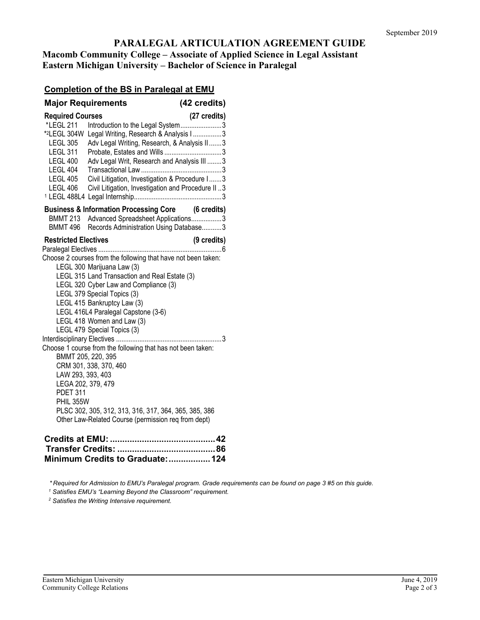### **PARALEGAL ARTICULATION AGREEMENT GUIDE Macomb Community College – Associate of Applied Science in Legal Assistant Eastern Michigan University – Bachelor of Science in Paralegal**

## **Completion of the BS in Paralegal at EMU**

|                                                                                                                                                                       | <b>Major Requirements</b>                                                                                                                                                                                                                                                                                                                                                                                                                                                                                                                                                                                    | (42 credits) |
|-----------------------------------------------------------------------------------------------------------------------------------------------------------------------|--------------------------------------------------------------------------------------------------------------------------------------------------------------------------------------------------------------------------------------------------------------------------------------------------------------------------------------------------------------------------------------------------------------------------------------------------------------------------------------------------------------------------------------------------------------------------------------------------------------|--------------|
| <b>Required Courses</b><br>*LEGL 211<br>*2LEGL 304W<br><b>LEGL 305</b><br><b>LEGL 311</b><br><b>LEGL 400</b><br><b>LEGL 404</b><br><b>LEGL 405</b><br><b>LEGL 406</b> | Introduction to the Legal System3<br>Legal Writing, Research & Analysis I3<br>Adv Legal Writing, Research, & Analysis II3<br>Adv Legal Writ, Research and Analysis III  3<br>Civil Litigation, Investigation & Procedure I 3<br>Civil Litigation, Investigation and Procedure II.3                                                                                                                                                                                                                                                                                                                           | (27 credits) |
| BMMT 213<br>BMMT 496                                                                                                                                                  | <b>Business &amp; Information Processing Core (6 credits)</b><br>Advanced Spreadsheet Applications3<br>Records Administration Using Database3                                                                                                                                                                                                                                                                                                                                                                                                                                                                |              |
| <b>Restricted Electives</b><br>LAW 293, 393, 403<br><b>PDET 311</b><br>PHIL 355W                                                                                      | Choose 2 courses from the following that have not been taken:<br>LEGL 300 Marijuana Law (3)<br>LEGL 315 Land Transaction and Real Estate (3)<br>LEGL 320 Cyber Law and Compliance (3)<br>LEGL 379 Special Topics (3)<br>LEGL 415 Bankruptcy Law (3)<br>LEGL 416L4 Paralegal Capstone (3-6)<br>LEGL 418 Women and Law (3)<br>LEGL 479 Special Topics (3)<br>Choose 1 course from the following that has not been taken:<br>BMMT 205, 220, 395<br>CRM 301, 338, 370, 460<br>LEGA 202, 379, 479<br>PLSC 302, 305, 312, 313, 316, 317, 364, 365, 385, 386<br>Other Law-Related Course (permission req from dept) | (9 credits)  |

| Minimum Credits to Graduate:  124 |  |
|-----------------------------------|--|

*\* Required for Admission to EMU's Paralegal program. Grade requirements can be found on page 3 #5 on this guide.* 

*<sup>1</sup> Satisfies EMU's "Learning Beyond the Classroom" requirement.*

*<sup>2</sup> Satisfies the Writing Intensive requirement.*